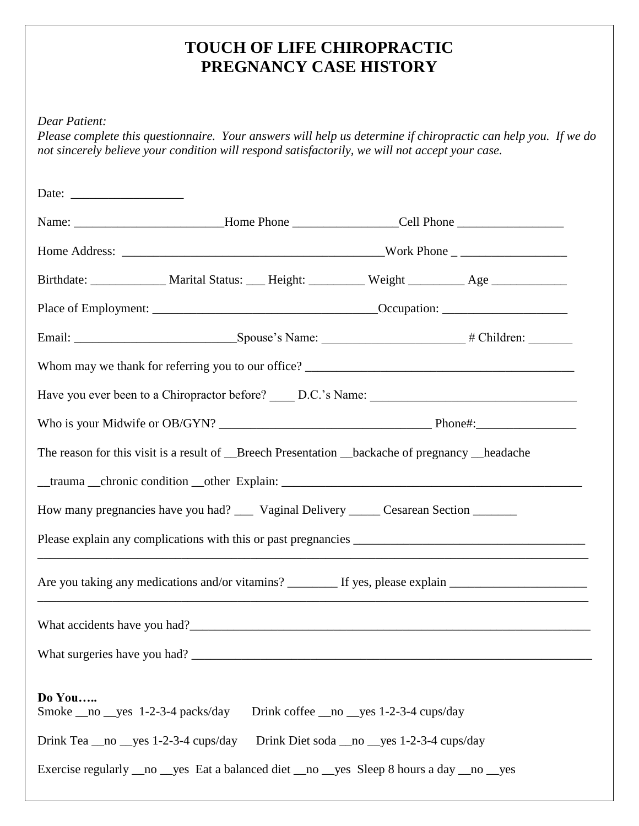## **TOUCH OF LIFE CHIROPRACTIC PREGNANCY CASE HISTORY**

*Dear Patient:*

*Please complete this questionnaire. Your answers will help us determine if chiropractic can help you. If we do not sincerely believe your condition will respond satisfactorily, we will not accept your case.*

|                                                                                                                |  |  |                                                                                             | Name: _____________________________Home Phone ___________________Cell Phone ________________________ |  |
|----------------------------------------------------------------------------------------------------------------|--|--|---------------------------------------------------------------------------------------------|------------------------------------------------------------------------------------------------------|--|
|                                                                                                                |  |  |                                                                                             |                                                                                                      |  |
|                                                                                                                |  |  |                                                                                             | Birthdate: ______________ Marital Status: ____ Height: __________ Weight _________ Age ____________  |  |
|                                                                                                                |  |  |                                                                                             |                                                                                                      |  |
|                                                                                                                |  |  |                                                                                             |                                                                                                      |  |
|                                                                                                                |  |  |                                                                                             |                                                                                                      |  |
|                                                                                                                |  |  |                                                                                             |                                                                                                      |  |
|                                                                                                                |  |  |                                                                                             |                                                                                                      |  |
| The reason for this visit is a result of Breech Presentation _backache of pregnancy _headache                  |  |  |                                                                                             |                                                                                                      |  |
|                                                                                                                |  |  |                                                                                             |                                                                                                      |  |
| How many pregnancies have you had? _____ Vaginal Delivery ______ Cesarean Section _______                      |  |  |                                                                                             |                                                                                                      |  |
|                                                                                                                |  |  |                                                                                             |                                                                                                      |  |
| Are you taking any medications and/or vitamins? ___________ If yes, please explain ___________________________ |  |  |                                                                                             |                                                                                                      |  |
|                                                                                                                |  |  |                                                                                             |                                                                                                      |  |
| What surgeries have you had?                                                                                   |  |  |                                                                                             |                                                                                                      |  |
| Do You<br>Smoke __ no __ yes 1-2-3-4 packs/day<br>Drink Tea $\_\_$ no $\_\$ yes 1-2-3-4 cups/day               |  |  | Drink coffee __ no __ yes 1-2-3-4 cups/day<br>Drink Diet soda __ no __ yes 1-2-3-4 cups/day |                                                                                                      |  |
| Exercise regularly __no __yes Eat a balanced diet __no __yes Sleep 8 hours a day __no __yes                    |  |  |                                                                                             |                                                                                                      |  |